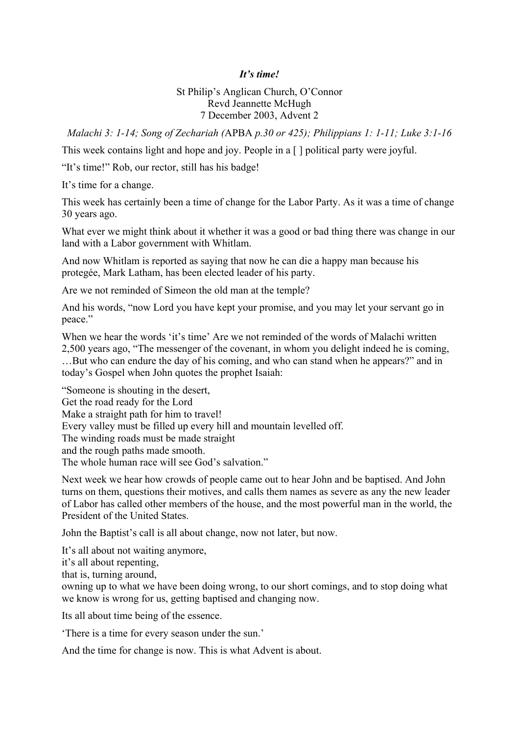## *It's time!*

## St Philip's Anglican Church, O'Connor Revd Jeannette McHugh 7 December 2003, Advent 2

*Malachi 3: 1-14; Song of Zechariah (*APBA *p.30 or 425); Philippians 1: 1-11; Luke 3:1-16*

This week contains light and hope and joy. People in a [ ] political party were joyful.

"It's time!" Rob, our rector, still has his badge!

It's time for a change.

This week has certainly been a time of change for the Labor Party. As it was a time of change 30 years ago.

What ever we might think about it whether it was a good or bad thing there was change in our land with a Labor government with Whitlam.

And now Whitlam is reported as saying that now he can die a happy man because his protegée, Mark Latham, has been elected leader of his party.

Are we not reminded of Simeon the old man at the temple?

And his words, "now Lord you have kept your promise, and you may let your servant go in peace."

When we hear the words 'it's time' Are we not reminded of the words of Malachi written 2,500 years ago, "The messenger of the covenant, in whom you delight indeed he is coming, …But who can endure the day of his coming, and who can stand when he appears?" and in today's Gospel when John quotes the prophet Isaiah:

"Someone is shouting in the desert, Get the road ready for the Lord Make a straight path for him to travel! Every valley must be filled up every hill and mountain levelled off. The winding roads must be made straight and the rough paths made smooth. The whole human race will see God's salvation."

Next week we hear how crowds of people came out to hear John and be baptised. And John turns on them, questions their motives, and calls them names as severe as any the new leader of Labor has called other members of the house, and the most powerful man in the world, the President of the United States.

John the Baptist's call is all about change, now not later, but now.

It's all about not waiting anymore,

it's all about repenting,

that is, turning around,

owning up to what we have been doing wrong, to our short comings, and to stop doing what we know is wrong for us, getting baptised and changing now.

Its all about time being of the essence.

'There is a time for every season under the sun.'

And the time for change is now. This is what Advent is about.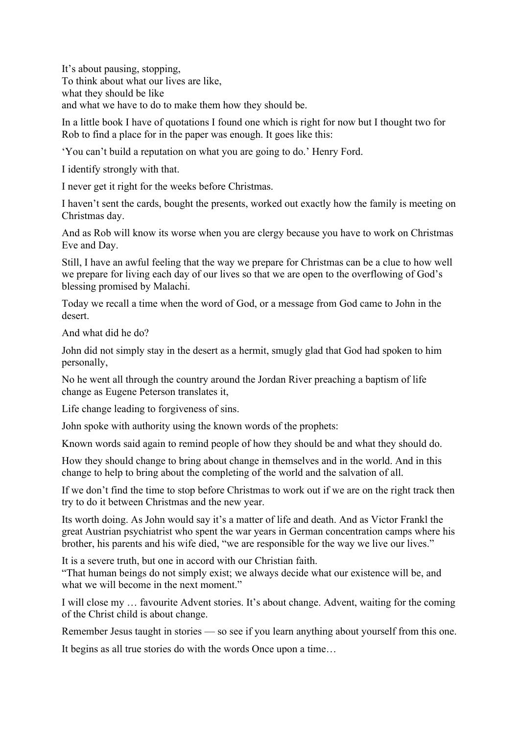It's about pausing, stopping, To think about what our lives are like, what they should be like and what we have to do to make them how they should be.

In a little book I have of quotations I found one which is right for now but I thought two for Rob to find a place for in the paper was enough. It goes like this:

'You can't build a reputation on what you are going to do.' Henry Ford.

I identify strongly with that.

I never get it right for the weeks before Christmas.

I haven't sent the cards, bought the presents, worked out exactly how the family is meeting on Christmas day.

And as Rob will know its worse when you are clergy because you have to work on Christmas Eve and Day.

Still, I have an awful feeling that the way we prepare for Christmas can be a clue to how well we prepare for living each day of our lives so that we are open to the overflowing of God's blessing promised by Malachi.

Today we recall a time when the word of God, or a message from God came to John in the desert.

And what did he do?

John did not simply stay in the desert as a hermit, smugly glad that God had spoken to him personally,

No he went all through the country around the Jordan River preaching a baptism of life change as Eugene Peterson translates it,

Life change leading to forgiveness of sins.

John spoke with authority using the known words of the prophets:

Known words said again to remind people of how they should be and what they should do.

How they should change to bring about change in themselves and in the world. And in this change to help to bring about the completing of the world and the salvation of all.

If we don't find the time to stop before Christmas to work out if we are on the right track then try to do it between Christmas and the new year.

Its worth doing. As John would say it's a matter of life and death. And as Victor Frankl the great Austrian psychiatrist who spent the war years in German concentration camps where his brother, his parents and his wife died, "we are responsible for the way we live our lives."

It is a severe truth, but one in accord with our Christian faith.

"That human beings do not simply exist; we always decide what our existence will be, and what we will become in the next moment."

I will close my … favourite Advent stories. It's about change. Advent, waiting for the coming of the Christ child is about change.

Remember Jesus taught in stories — so see if you learn anything about yourself from this one.

It begins as all true stories do with the words Once upon a time…